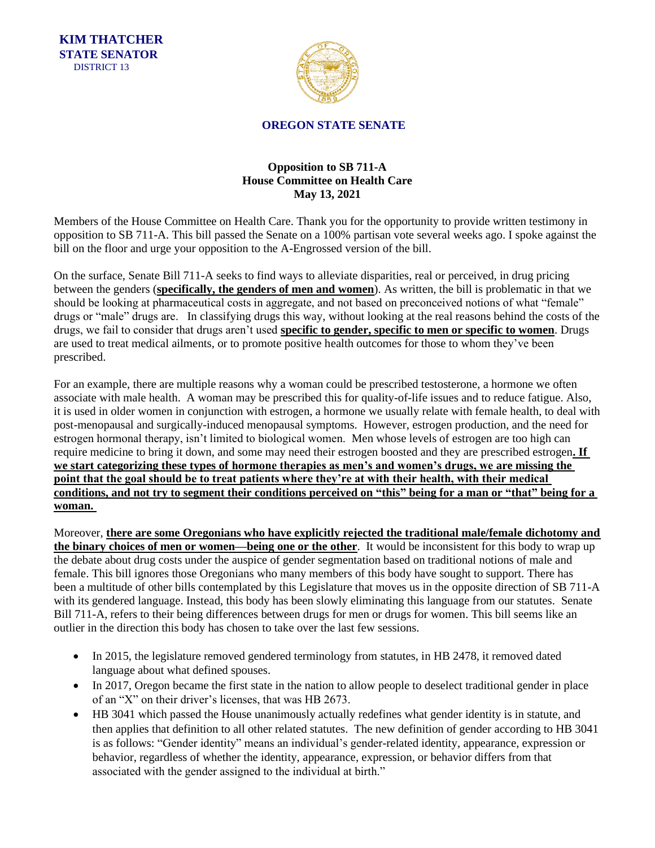**KIM THATCHER STATE SENATOR** DISTRICT 13



## **OREGON STATE SENATE**

## **Opposition to SB 711-A House Committee on Health Care May 13, 2021**

Members of the House Committee on Health Care. Thank you for the opportunity to provide written testimony in opposition to SB 711-A. This bill passed the Senate on a 100% partisan vote several weeks ago. I spoke against the bill on the floor and urge your opposition to the A-Engrossed version of the bill.

On the surface, Senate Bill 711-A seeks to find ways to alleviate disparities, real or perceived, in drug pricing between the genders (**specifically, the genders of men and women**). As written, the bill is problematic in that we should be looking at pharmaceutical costs in aggregate, and not based on preconceived notions of what "female" drugs or "male" drugs are. In classifying drugs this way, without looking at the real reasons behind the costs of the drugs, we fail to consider that drugs aren't used **specific to gender, specific to men or specific to women**. Drugs are used to treat medical ailments, or to promote positive health outcomes for those to whom they've been prescribed.

For an example, there are multiple reasons why a woman could be prescribed testosterone, a hormone we often associate with male health. A woman may be prescribed this for quality-of-life issues and to reduce fatigue. Also, it is used in older women in conjunction with estrogen, a hormone we usually relate with female health, to deal with post-menopausal and surgically-induced menopausal symptoms. However, estrogen production, and the need for estrogen hormonal therapy, isn't limited to biological women. Men whose levels of estrogen are too high can require medicine to bring it down, and some may need their estrogen boosted and they are prescribed estrogen**. If we start categorizing these types of hormone therapies as men's and women's drugs, we are missing the point that the goal should be to treat patients where they're at with their health, with their medical conditions, and not try to segment their conditions perceived on "this" being for a man or "that" being for a woman.** 

Moreover, **there are some Oregonians who have explicitly rejected the traditional male/female dichotomy and the binary choices of men or women—being one or the other**. It would be inconsistent for this body to wrap up the debate about drug costs under the auspice of gender segmentation based on traditional notions of male and female. This bill ignores those Oregonians who many members of this body have sought to support. There has been a multitude of other bills contemplated by this Legislature that moves us in the opposite direction of SB 711-A with its gendered language. Instead, this body has been slowly eliminating this language from our statutes. Senate Bill 711-A, refers to their being differences between drugs for men or drugs for women. This bill seems like an outlier in the direction this body has chosen to take over the last few sessions.

- In 2015, the legislature removed gendered terminology from statutes, in HB 2478, it removed dated language about what defined spouses.
- In 2017, Oregon became the first state in the nation to allow people to deselect traditional gender in place of an "X" on their driver's licenses, that was HB 2673.
- HB 3041 which passed the House unanimously actually redefines what gender identity is in statute, and then applies that definition to all other related statutes. The new definition of gender according to HB 3041 is as follows: "Gender identity" means an individual's gender-related identity, appearance, expression or behavior, regardless of whether the identity, appearance, expression, or behavior differs from that associated with the gender assigned to the individual at birth."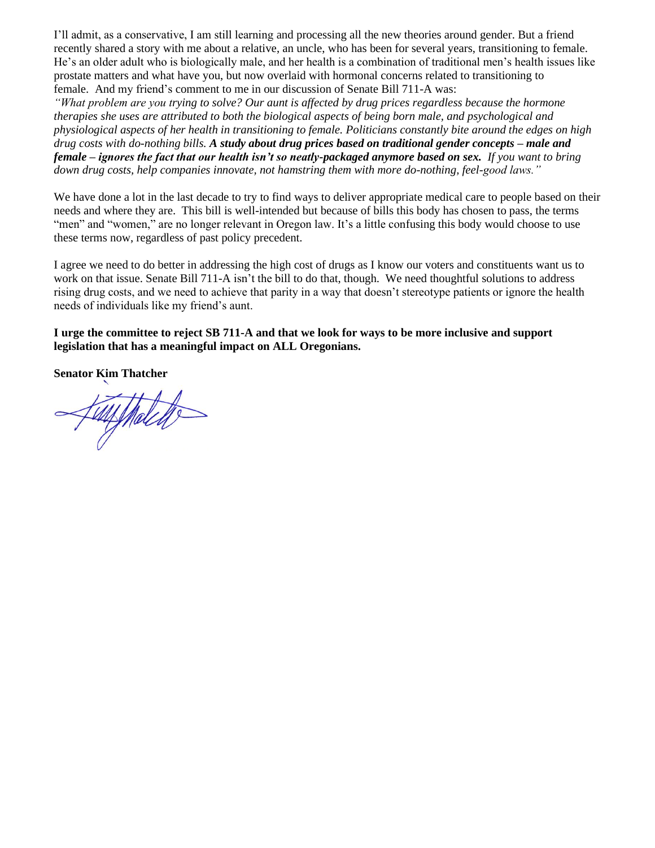I'll admit, as a conservative, I am still learning and processing all the new theories around gender. But a friend recently shared a story with me about a relative, an uncle, who has been for several years, transitioning to female. He's an older adult who is biologically male, and her health is a combination of traditional men's health issues like prostate matters and what have you, but now overlaid with hormonal concerns related to transitioning to female. And my friend's comment to me in our discussion of Senate Bill 711-A was:

*"What problem are you trying to solve? Our aunt is affected by drug prices regardless because the hormone therapies she uses are attributed to both the biological aspects of being born male, and psychological and physiological aspects of her health in transitioning to female. Politicians constantly bite around the edges on high drug costs with do-nothing bills. A study about drug prices based on traditional gender concepts – male and female – ignores the fact that our health isn't so neatly-packaged anymore based on sex. If you want to bring down drug costs, help companies innovate, not hamstring them with more do-nothing, feel-good laws."*

We have done a lot in the last decade to try to find ways to deliver appropriate medical care to people based on their needs and where they are. This bill is well-intended but because of bills this body has chosen to pass, the terms "men" and "women," are no longer relevant in Oregon law. It's a little confusing this body would choose to use these terms now, regardless of past policy precedent.

I agree we need to do better in addressing the high cost of drugs as I know our voters and constituents want us to work on that issue. Senate Bill 711-A isn't the bill to do that, though. We need thoughtful solutions to address rising drug costs, and we need to achieve that parity in a way that doesn't stereotype patients or ignore the health needs of individuals like my friend's aunt.

**I urge the committee to reject SB 711-A and that we look for ways to be more inclusive and support legislation that has a meaningful impact on ALL Oregonians.**

**Senator Kim Thatcher**

FulfMalett